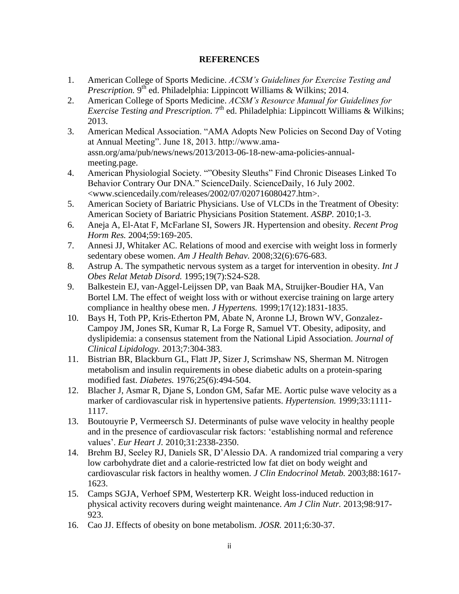## **REFERENCES**

- 1. American College of Sports Medicine. *ACSM's Guidelines for Exercise Testing and*  Prescription. 9<sup>th</sup> ed. Philadelphia: Lippincott Williams & Wilkins; 2014.
- 2. American College of Sports Medicine. *ACSM's Resource Manual for Guidelines for*  Exercise Testing and Prescription. 7<sup>th</sup> ed. Philadelphia: Lippincott Williams & Wilkins; 2013.
- 3. American Medical Association. "AMA Adopts New Policies on Second Day of Voting at Annual Meeting". June 18, 2013. http://www.amaassn.org/ama/pub/news/news/2013/2013-06-18-new-ama-policies-annualmeeting.page.
- 4. American Physiologial Society. ""Obesity Sleuths" Find Chronic Diseases Linked To Behavior Contrary Our DNA." ScienceDaily. ScienceDaily, 16 July 2002. <www.sciencedaily.com/releases/2002/07/020716080427.htm>.
- 5. American Society of Bariatric Physicians. Use of VLCDs in the Treatment of Obesity: American Society of Bariatric Physicians Position Statement. *ASBP.* 2010;1-3.
- 6. Aneja A, El-Atat F, McFarlane SI, Sowers JR. Hypertension and obesity. *Recent Prog Horm Res.* 2004;59:169-205.
- 7. Annesi JJ, Whitaker AC. Relations of mood and exercise with weight loss in formerly sedentary obese women. *Am J Health Behav.* 2008;32(6):676-683.
- 8. Astrup A. The sympathetic nervous system as a target for intervention in obesity. *Int J Obes Relat Metab Disord.* 1995;19(7):S24-S28.
- 9. Balkestein EJ, van-Aggel-Leijssen DP, van Baak MA, Struijker-Boudier HA, Van Bortel LM. The effect of weight loss with or without exercise training on large artery compliance in healthy obese men. *J Hypertens.* 1999;17(12):1831-1835.
- 10. Bays H, Toth PP, Kris-Etherton PM, Abate N, Aronne LJ, Brown WV, Gonzalez-Campoy JM, Jones SR, Kumar R, La Forge R, Samuel VT. Obesity, adiposity, and dyslipidemia: a consensus statement from the National Lipid Association. *Journal of Clinical Lipidology.* 2013;7:304-383.
- 11. Bistrian BR, Blackburn GL, Flatt JP, Sizer J, Scrimshaw NS, Sherman M. Nitrogen metabolism and insulin requirements in obese diabetic adults on a protein-sparing modified fast. *Diabetes.* 1976;25(6):494-504.
- 12. Blacher J, Asmar R, Djane S, London GM, Safar ME. Aortic pulse wave velocity as a marker of cardiovascular risk in hypertensive patients. *Hypertension.* 1999;33:1111- 1117.
- 13. Boutouyrie P, Vermeersch SJ. Determinants of pulse wave velocity in healthy people and in the presence of cardiovascular risk factors: 'establishing normal and reference values'. *Eur Heart J.* 2010;31:2338-2350.
- 14. Brehm BJ, Seeley RJ, Daniels SR, D'Alessio DA. A randomized trial comparing a very low carbohydrate diet and a calorie-restricted low fat diet on body weight and cardiovascular risk factors in healthy women. *J Clin Endocrinol Metab.* 2003;88:1617- 1623.
- 15. Camps SGJA, Verhoef SPM, Westerterp KR. Weight loss-induced reduction in physical activity recovers during weight maintenance. *Am J Clin Nutr.* 2013;98:917- 923.
- 16. Cao JJ. Effects of obesity on bone metabolism. *JOSR.* 2011;6:30-37.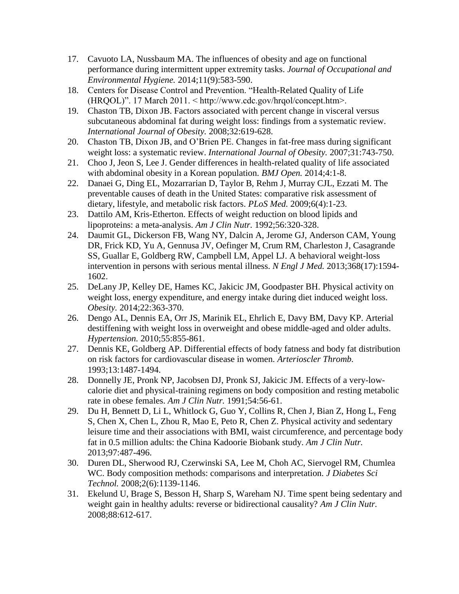- 17. Cavuoto LA, Nussbaum MA. The influences of obesity and age on functional performance during intermittent upper extremity tasks. *Journal of Occupational and Environmental Hygiene.* 2014;11(9):583-590.
- 18. Centers for Disease Control and Prevention. "Health-Related Quality of Life (HRQOL)". 17 March 2011. < http://www.cdc.gov/hrqol/concept.htm>.
- 19. Chaston TB, Dixon JB. Factors associated with percent change in visceral versus subcutaneous abdominal fat during weight loss: findings from a systematic review. *International Journal of Obesity.* 2008;32:619-628.
- 20. Chaston TB, Dixon JB, and O'Brien PE. Changes in fat-free mass during significant weight loss: a systematic review. *International Journal of Obesity.* 2007;31:743-750.
- 21. Choo J, Jeon S, Lee J. Gender differences in health-related quality of life associated with abdominal obesity in a Korean population. *BMJ Open.* 2014;4:1-8.
- 22. Danaei G, Ding EL, Mozarrarian D, Taylor B, Rehm J, Murray CJL, Ezzati M. The preventable causes of death in the United States: comparative risk assessment of dietary, lifestyle, and metabolic risk factors. *PLoS Med.* 2009;6(4):1-23.
- 23. Dattilo AM, Kris-Etherton. Effects of weight reduction on blood lipids and lipoproteins: a meta-analysis. *Am J Clin Nutr.* 1992;56:320-328.
- 24. Daumit GL, Dickerson FB, Wang NY, Dalcin A, Jerome GJ, Anderson CAM, Young DR, Frick KD, Yu A, Gennusa JV, Oefinger M, Crum RM, Charleston J, Casagrande SS, Guallar E, Goldberg RW, Campbell LM, Appel LJ. A behavioral weight-loss intervention in persons with serious mental illness. *N Engl J Med.* 2013;368(17):1594- 1602.
- 25. DeLany JP, Kelley DE, Hames KC, Jakicic JM, Goodpaster BH. Physical activity on weight loss, energy expenditure, and energy intake during diet induced weight loss. *Obesity.* 2014;22:363-370.
- 26. Dengo AL, Dennis EA, Orr JS, Marinik EL, Ehrlich E, Davy BM, Davy KP. Arterial destiffening with weight loss in overweight and obese middle-aged and older adults. *Hypertension.* 2010;55:855-861.
- 27. Dennis KE, Goldberg AP. Differential effects of body fatness and body fat distribution on risk factors for cardiovascular disease in women. *Arterioscler Thromb.*  1993;13:1487-1494.
- 28. Donnelly JE, Pronk NP, Jacobsen DJ, Pronk SJ, Jakicic JM. Effects of a very-lowcalorie diet and physical-training regimens on body composition and resting metabolic rate in obese females. *Am J Clin Nutr.* 1991;54:56-61.
- 29. Du H, Bennett D, Li L, Whitlock G, Guo Y, Collins R, Chen J, Bian Z, Hong L, Feng S, Chen X, Chen L, Zhou R, Mao E, Peto R, Chen Z. Physical activity and sedentary leisure time and their associations with BMI, waist circumference, and percentage body fat in 0.5 million adults: the China Kadoorie Biobank study. *Am J Clin Nutr.*  2013;97:487-496.
- 30. Duren DL, Sherwood RJ, Czerwinski SA, Lee M, Choh AC, Siervogel RM, Chumlea WC. Body composition methods: comparisons and interpretation. *J Diabetes Sci Technol.* 2008;2(6):1139-1146.
- 31. Ekelund U, Brage S, Besson H, Sharp S, Wareham NJ. Time spent being sedentary and weight gain in healthy adults: reverse or bidirectional causality? *Am J Clin Nutr.*  2008;88:612-617.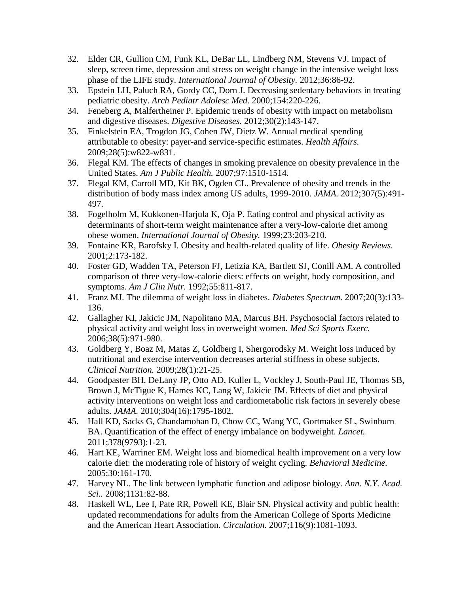- 32. Elder CR, Gullion CM, Funk KL, DeBar LL, Lindberg NM, Stevens VJ. Impact of sleep, screen time, depression and stress on weight change in the intensive weight loss phase of the LIFE study. *International Journal of Obesity.* 2012;36:86-92.
- 33. Epstein LH, Paluch RA, Gordy CC, Dorn J. Decreasing sedentary behaviors in treating pediatric obesity. *Arch Pediatr Adolesc Med.* 2000;154:220-226.
- 34. Feneberg A, Malfertheiner P. Epidemic trends of obesity with impact on metabolism and digestive diseases. *Digestive Diseases.* 2012;30(2):143-147.
- 35. Finkelstein EA, Trogdon JG, Cohen JW, Dietz W. Annual medical spending attributable to obesity: payer-and service-specific estimates. *Health Affairs.*  2009;28(5):w822-w831.
- 36. Flegal KM. The effects of changes in smoking prevalence on obesity prevalence in the United States. *Am J Public Health.* 2007;97:1510-1514.
- 37. Flegal KM, Carroll MD, Kit BK, Ogden CL. Prevalence of obesity and trends in the distribution of body mass index among US adults, 1999-2010. *JAMA.* 2012;307(5):491- 497.
- 38. Fogelholm M, Kukkonen-Harjula K, Oja P. Eating control and physical activity as determinants of short-term weight maintenance after a very-low-calorie diet among obese women. *International Journal of Obesity.* 1999;23:203-210.
- 39. Fontaine KR, Barofsky I. Obesity and health-related quality of life. *Obesity Reviews.*  2001;2:173-182.
- 40. Foster GD, Wadden TA, Peterson FJ, Letizia KA, Bartlett SJ, Conill AM. A controlled comparison of three very-low-calorie diets: effects on weight, body composition, and symptoms. *Am J Clin Nutr.* 1992;55:811-817.
- 41. Franz MJ. The dilemma of weight loss in diabetes. *Diabetes Spectrum.* 2007;20(3):133- 136.
- 42. Gallagher KI, Jakicic JM, Napolitano MA, Marcus BH. Psychosocial factors related to physical activity and weight loss in overweight women. *Med Sci Sports Exerc.*  2006;38(5):971-980.
- 43. Goldberg Y, Boaz M, Matas Z, Goldberg I, Shergorodsky M. Weight loss induced by nutritional and exercise intervention decreases arterial stiffness in obese subjects. *Clinical Nutrition.* 2009;28(1):21-25.
- 44. Goodpaster BH, DeLany JP, Otto AD, Kuller L, Vockley J, South-Paul JE, Thomas SB, Brown J, McTigue K, Hames KC, Lang W, Jakicic JM. Effects of diet and physical activity interventions on weight loss and cardiometabolic risk factors in severely obese adults. *JAMA.* 2010;304(16):1795-1802.
- 45. Hall KD, Sacks G, Chandamohan D, Chow CC, Wang YC, Gortmaker SL, Swinburn BA. Quantification of the effect of energy imbalance on bodyweight. *Lancet.*  2011;378(9793):1-23.
- 46. Hart KE, Warriner EM. Weight loss and biomedical health improvement on a very low calorie diet: the moderating role of history of weight cycling. *Behavioral Medicine.*  2005;30:161-170.
- 47. Harvey NL. The link between lymphatic function and adipose biology. *Ann. N.Y. Acad. Sci..* 2008;1131:82-88.
- 48. Haskell WL, Lee I, Pate RR, Powell KE, Blair SN. Physical activity and public health: updated recommendations for adults from the American College of Sports Medicine and the American Heart Association. *Circulation.* 2007;116(9):1081-1093.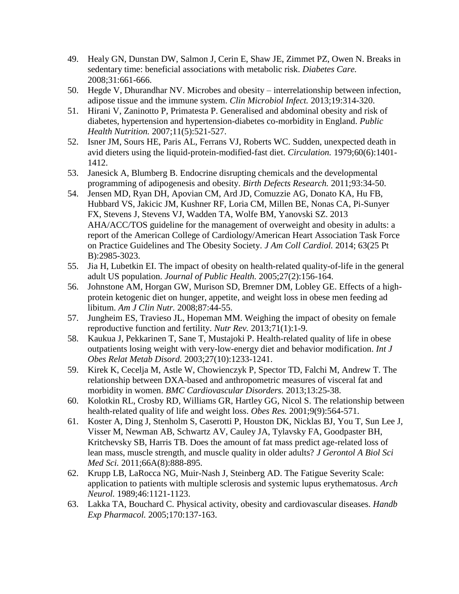- 49. Healy GN, Dunstan DW, Salmon J, Cerin E, Shaw JE, Zimmet PZ, Owen N. Breaks in sedentary time: beneficial associations with metabolic risk. *Diabetes Care.*  2008;31:661-666.
- 50. Hegde V, Dhurandhar NV. Microbes and obesity interrelationship between infection, adipose tissue and the immune system. *Clin Microbiol Infect.* 2013;19:314-320.
- 51. Hirani V, Zaninotto P, Primatesta P. Generalised and abdominal obesity and risk of diabetes, hypertension and hypertension-diabetes co-morbidity in England. *Public Health Nutrition.* 2007;11(5):521-527.
- 52. Isner JM, Sours HE, Paris AL, Ferrans VJ, Roberts WC. Sudden, unexpected death in avid dieters using the liquid-protein-modified-fast diet. *Circulation.* 1979;60(6):1401- 1412.
- 53. Janesick A, Blumberg B. Endocrine disrupting chemicals and the developmental programming of adipogenesis and obesity. *Birth Defects Research.* 2011;93:34-50.
- 54. Jensen MD, Ryan DH, Apovian CM, Ard JD, Comuzzie AG, Donato KA, Hu FB, Hubbard VS, Jakicic JM, Kushner RF, Loria CM, Millen BE, Nonas CA, Pi-Sunyer FX, Stevens J, Stevens VJ, Wadden TA, Wolfe BM, Yanovski SZ. 2013 AHA/ACC/TOS guideline for the management of overweight and obesity in adults: a report of the American College of Cardiology/American Heart Association Task Force on Practice Guidelines and The Obesity Society. *J Am Coll Cardiol.* 2014; 63(25 Pt B):2985-3023.
- 55. Jia H, Lubetkin EI. The impact of obesity on health-related quality-of-life in the general adult US population. *Journal of Public Health.* 2005;27(2):156-164.
- 56. Johnstone AM, Horgan GW, Murison SD, Bremner DM, Lobley GE. Effects of a highprotein ketogenic diet on hunger, appetite, and weight loss in obese men feeding ad libitum. *Am J Clin Nutr.* 2008;87:44-55.
- 57. Jungheim ES, Travieso JL, Hopeman MM. Weighing the impact of obesity on female reproductive function and fertility. *Nutr Rev.* 2013;71(1):1-9.
- 58. Kaukua J, Pekkarinen T, Sane T, Mustajoki P. Health-related quality of life in obese outpatients losing weight with very-low-energy diet and behavior modification. *Int J Obes Relat Metab Disord.* 2003;27(10):1233-1241.
- 59. Kirek K, Cecelja M, Astle W, Chowienczyk P, Spector TD, Falchi M, Andrew T. The relationship between DXA-based and anthropometric measures of visceral fat and morbidity in women. *BMC Cardiovascular Disorders.* 2013;13:25-38.
- 60. Kolotkin RL, Crosby RD, Williams GR, Hartley GG, Nicol S. The relationship between health-related quality of life and weight loss. *Obes Res.* 2001;9(9):564-571.
- 61. Koster A, Ding J, Stenholm S, Caserotti P, Houston DK, Nicklas BJ, You T, Sun Lee J, Visser M, Newman AB, Schwartz AV, Cauley JA, Tylavsky FA, Goodpaster BH, Kritchevsky SB, Harris TB. Does the amount of fat mass predict age-related loss of lean mass, muscle strength, and muscle quality in older adults? *J Gerontol A Biol Sci Med Sci.* 2011;66A(8):888-895.
- 62. Krupp LB, LaRocca NG, Muir-Nash J, Steinberg AD. The Fatigue Severity Scale: application to patients with multiple sclerosis and systemic lupus erythematosus. *Arch Neurol.* 1989;46:1121-1123.
- 63. Lakka TA, Bouchard C. Physical activity, obesity and cardiovascular diseases. *Handb Exp Pharmacol.* 2005;170:137-163.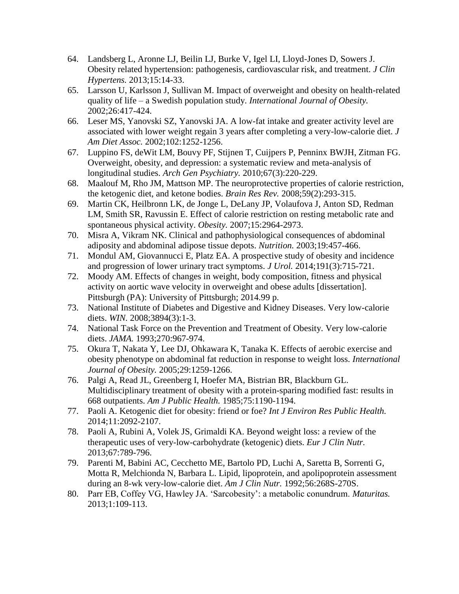- 64. Landsberg L, Aronne LJ, Beilin LJ, Burke V, Igel LI, Lloyd-Jones D, Sowers J. Obesity related hypertension: pathogenesis, cardiovascular risk, and treatment. *J Clin Hypertens.* 2013;15:14-33.
- 65. Larsson U, Karlsson J, Sullivan M. Impact of overweight and obesity on health-related quality of life – a Swedish population study. *International Journal of Obesity.*  2002;26:417-424.
- 66. Leser MS, Yanovski SZ, Yanovski JA. A low-fat intake and greater activity level are associated with lower weight regain 3 years after completing a very-low-calorie diet. *J Am Diet Assoc.* 2002;102:1252-1256.
- 67. Luppino FS, deWit LM, Bouvy PF, Stijnen T, Cuijpers P, Penninx BWJH, Zitman FG. Overweight, obesity, and depression: a systematic review and meta-analysis of longitudinal studies. *Arch Gen Psychiatry.* 2010;67(3):220-229.
- 68. Maalouf M, Rho JM, Mattson MP. The neuroprotective properties of calorie restriction, the ketogenic diet, and ketone bodies. *Brain Res Rev.* 2008;59(2):293-315.
- 69. Martin CK, Heilbronn LK, de Jonge L, DeLany JP, Volaufova J, Anton SD, Redman LM, Smith SR, Ravussin E. Effect of calorie restriction on resting metabolic rate and spontaneous physical activity. *Obesity.* 2007;15:2964-2973.
- 70. Misra A, Vikram NK. Clinical and pathophysiological consequences of abdominal adiposity and abdominal adipose tissue depots. *Nutrition.* 2003;19:457-466.
- 71. Mondul AM, Giovannucci E, Platz EA. A prospective study of obesity and incidence and progression of lower urinary tract symptoms. *J Urol.* 2014;191(3):715-721.
- 72. Moody AM. Effects of changes in weight, body composition, fitness and physical activity on aortic wave velocity in overweight and obese adults [dissertation]. Pittsburgh (PA): University of Pittsburgh; 2014.99 p.
- 73. National Institute of Diabetes and Digestive and Kidney Diseases. Very low-calorie diets. *WIN.* 2008;3894(3):1-3.
- 74. National Task Force on the Prevention and Treatment of Obesity. Very low-calorie diets. *JAMA.* 1993;270:967-974.
- 75. Okura T, Nakata Y, Lee DJ, Ohkawara K, Tanaka K. Effects of aerobic exercise and obesity phenotype on abdominal fat reduction in response to weight loss. *International Journal of Obesity.* 2005;29:1259-1266.
- 76. Palgi A, Read JL, Greenberg I, Hoefer MA, Bistrian BR, Blackburn GL. Multidisciplinary treatment of obesity with a protein-sparing modified fast: results in 668 outpatients. *Am J Public Health.* 1985;75:1190-1194.
- 77. Paoli A. Ketogenic diet for obesity: friend or foe? *Int J Environ Res Public Health.*  2014;11:2092-2107.
- 78. Paoli A, Rubini A, Volek JS, Grimaldi KA. Beyond weight loss: a review of the therapeutic uses of very-low-carbohydrate (ketogenic) diets. *Eur J Clin Nutr.*  2013;67:789-796.
- 79. Parenti M, Babini AC, Cecchetto ME, Bartolo PD, Luchi A, Saretta B, Sorrenti G, Motta R, Melchionda N, Barbara L. Lipid, lipoprotein, and apolipoprotein assessment during an 8-wk very-low-calorie diet. *Am J Clin Nutr.* 1992;56:268S-270S.
- 80. Parr EB, Coffey VG, Hawley JA. 'Sarcobesity': a metabolic conundrum. *Maturitas.*  2013;1:109-113.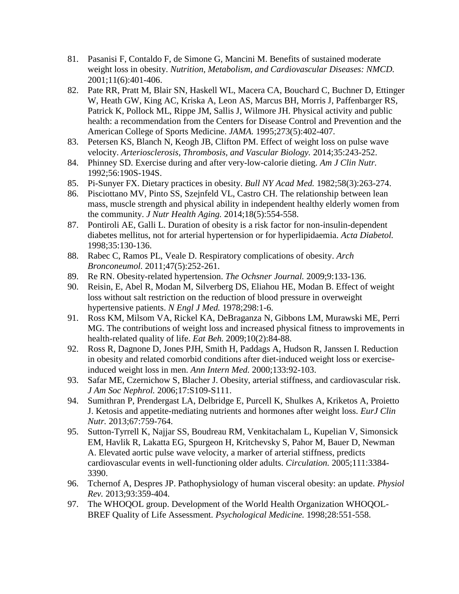- 81. Pasanisi F, Contaldo F, de Simone G, Mancini M. Benefits of sustained moderate weight loss in obesity. *Nutrition, Metabolism, and Cardiovascular Diseases: NMCD.*  2001;11(6):401-406.
- 82. Pate RR, Pratt M, Blair SN, Haskell WL, Macera CA, Bouchard C, Buchner D, Ettinger W, Heath GW, King AC, Kriska A, Leon AS, Marcus BH, Morris J, Paffenbarger RS, Patrick K, Pollock ML, Rippe JM, Sallis J, Wilmore JH. Physical activity and public health: a recommendation from the Centers for Disease Control and Prevention and the American College of Sports Medicine. *JAMA.* 1995;273(5):402-407.
- 83. Petersen KS, Blanch N, Keogh JB, Clifton PM. Effect of weight loss on pulse wave velocity. *Arteriosclerosis, Thrombosis, and Vascular Biology.* 2014;35:243-252.
- 84. Phinney SD. Exercise during and after very-low-calorie dieting. *Am J Clin Nutr.*  1992;56:190S-194S.
- 85. Pi-Sunyer FX. Dietary practices in obesity. *Bull NY Acad Med.* 1982;58(3):263-274.
- 86. Pisciottano MV, Pinto SS, Szejnfeld VL, Castro CH. The relationship between lean mass, muscle strength and physical ability in independent healthy elderly women from the community. *J Nutr Health Aging.* 2014;18(5):554-558.
- 87. Pontiroli AE, Galli L. Duration of obesity is a risk factor for non-insulin-dependent diabetes mellitus, not for arterial hypertension or for hyperlipidaemia. *Acta Diabetol.*  1998;35:130-136.
- 88. Rabec C, Ramos PL, Veale D. Respiratory complications of obesity. *Arch Bronconeumol.* 2011;47(5):252-261.
- 89. Re RN. Obesity-related hypertension. *The Ochsner Journal.* 2009;9:133-136.
- 90. Reisin, E, Abel R, Modan M, Silverberg DS, Eliahou HE, Modan B. Effect of weight loss without salt restriction on the reduction of blood pressure in overweight hypertensive patients. *N Engl J Med.* 1978;298:1-6.
- 91. Ross KM, Milsom VA, Rickel KA, DeBraganza N, Gibbons LM, Murawski ME, Perri MG. The contributions of weight loss and increased physical fitness to improvements in health-related quality of life. *Eat Beh.* 2009;10(2):84-88.
- 92. Ross R, Dagnone D, Jones PJH, Smith H, Paddags A, Hudson R, Janssen I. Reduction in obesity and related comorbid conditions after diet-induced weight loss or exerciseinduced weight loss in men. *Ann Intern Med.* 2000;133:92-103.
- 93. Safar ME, Czernichow S, Blacher J. Obesity, arterial stiffness, and cardiovascular risk. *J Am Soc Nephrol.* 2006;17:S109-S111.
- 94. Sumithran P, Prendergast LA, Delbridge E, Purcell K, Shulkes A, Kriketos A, Proietto J. Ketosis and appetite-mediating nutrients and hormones after weight loss. *EurJ Clin Nutr.* 2013;67:759-764.
- 95. Sutton-Tyrrell K, Najjar SS, Boudreau RM, Venkitachalam L, Kupelian V, Simonsick EM, Havlik R, Lakatta EG, Spurgeon H, Kritchevsky S, Pahor M, Bauer D, Newman A. Elevated aortic pulse wave velocity, a marker of arterial stiffness, predicts cardiovascular events in well-functioning older adults. *Circulation.* 2005;111:3384- 3390.
- 96. Tchernof A, Despres JP. Pathophysiology of human visceral obesity: an update. *Physiol Rev.* 2013;93:359-404.
- 97. The WHOQOL group. Development of the World Health Organization WHOQOL-BREF Quality of Life Assessment. *Psychological Medicine.* 1998;28:551-558.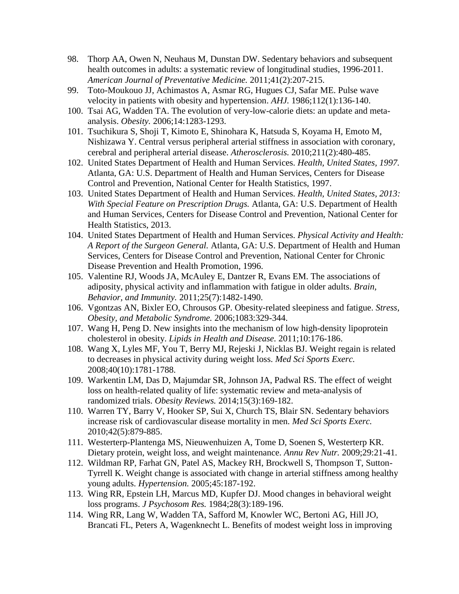- 98. Thorp AA, Owen N, Neuhaus M, Dunstan DW. Sedentary behaviors and subsequent health outcomes in adults: a systematic review of longitudinal studies, 1996-2011. *American Journal of Preventative Medicine.* 2011;41(2):207-215.
- 99. Toto-Moukouo JJ, Achimastos A, Asmar RG, Hugues CJ, Safar ME. Pulse wave velocity in patients with obesity and hypertension. *AHJ.* 1986;112(1):136-140.
- 100. Tsai AG, Wadden TA. The evolution of very-low-calorie diets: an update and metaanalysis. *Obesity.* 2006;14:1283-1293.
- 101. Tsuchikura S, Shoji T, Kimoto E, Shinohara K, Hatsuda S, Koyama H, Emoto M, Nishizawa Y. Central versus peripheral arterial stiffness in association with coronary, cerebral and peripheral arterial disease. *Atherosclerosis.* 2010;211(2):480-485.
- 102. United States Department of Health and Human Services. *Health, United States, 1997.*  Atlanta, GA: U.S. Department of Health and Human Services, Centers for Disease Control and Prevention, National Center for Health Statistics, 1997.
- 103. United States Department of Health and Human Services. *Health, United States, 2013: With Special Feature on Prescription Drugs.* Atlanta, GA: U.S. Department of Health and Human Services, Centers for Disease Control and Prevention, National Center for Health Statistics, 2013.
- 104. United States Department of Health and Human Services. *Physical Activity and Health: A Report of the Surgeon General.* Atlanta, GA: U.S. Department of Health and Human Services, Centers for Disease Control and Prevention, National Center for Chronic Disease Prevention and Health Promotion, 1996.
- 105. Valentine RJ, Woods JA, McAuley E, Dantzer R, Evans EM. The associations of adiposity, physical activity and inflammation with fatigue in older adults. *Brain, Behavior, and Immunity.* 2011;25(7):1482-1490.
- 106. Vgontzas AN, Bixler EO, Chrousos GP. Obesity-related sleepiness and fatigue. *Stress, Obesity, and Metabolic Syndrome.* 2006;1083:329-344.
- 107. Wang H, Peng D. New insights into the mechanism of low high-density lipoprotein cholesterol in obesity. *Lipids in Health and Disease.* 2011;10:176-186.
- 108. Wang X, Lyles MF, You T, Berry MJ, Rejeski J, Nicklas BJ. Weight regain is related to decreases in physical activity during weight loss. *Med Sci Sports Exerc.*  2008;40(10):1781-1788.
- 109. Warkentin LM, Das D, Majumdar SR, Johnson JA, Padwal RS. The effect of weight loss on health-related quality of life: systematic review and meta-analysis of randomized trials. *Obesity Reviews.* 2014;15(3):169-182.
- 110. Warren TY, Barry V, Hooker SP, Sui X, Church TS, Blair SN. Sedentary behaviors increase risk of cardiovascular disease mortality in men. *Med Sci Sports Exerc.*  2010;42(5):879-885.
- 111. Westerterp-Plantenga MS, Nieuwenhuizen A, Tome D, Soenen S, Westerterp KR. Dietary protein, weight loss, and weight maintenance. *Annu Rev Nutr.* 2009;29:21-41.
- 112. Wildman RP, Farhat GN, Patel AS, Mackey RH, Brockwell S, Thompson T, Sutton-Tyrrell K. Weight change is associated with change in arterial stiffness among healthy young adults. *Hypertension.* 2005;45:187-192.
- 113. Wing RR, Epstein LH, Marcus MD, Kupfer DJ. Mood changes in behavioral weight loss programs. *J Psychosom Res.* 1984;28(3):189-196.
- 114. Wing RR, Lang W, Wadden TA, Safford M, Knowler WC, Bertoni AG, Hill JO, Brancati FL, Peters A, Wagenknecht L. Benefits of modest weight loss in improving